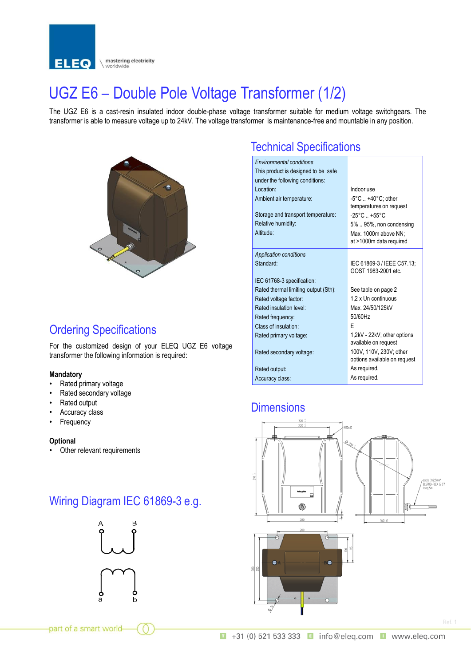

## UGZ E6 – Double Pole Voltage Transformer (1/2)

The UGZ E6 is a cast-resin insulated indoor double-phase voltage transformer suitable for medium voltage switchgears. The transformer is able to measure voltage up to 24kV. The voltage transformer is maintenance-free and mountable in any position.



#### Ordering Specifications

For the customized design of your ELEQ UGZ E6 voltage transformer the following information is required:

#### **Mandatory**

- Rated primary voltage
- Rated secondary voltage
- Rated output
- Accuracy class
- **Frequency**

#### **Optional**

• Other relevant requirements

### Wiring Diagram IEC 61869-3 e.g.



#### Technical Specifications

| <b>Environmental conditions</b><br>This product is designed to be safe<br>under the following conditions:<br>Location:<br>Ambient air temperature:<br>Storage and transport temperature:<br>Relative humidity:<br>Altitude: | Indoor use<br>$-5^{\circ}$ C  +40 $^{\circ}$ C; other<br>temperatures on request<br>$-25^{\circ}$ C $+55^{\circ}$ C<br>5%  95%, non condensing<br>Max. 1000m above NN;<br>at >1000m data required |
|-----------------------------------------------------------------------------------------------------------------------------------------------------------------------------------------------------------------------------|---------------------------------------------------------------------------------------------------------------------------------------------------------------------------------------------------|
| <b>Application conditions</b><br>Standard:                                                                                                                                                                                  | IEC 61869-3 / IEEE C57.13:<br>GOST 1983-2001 etc.                                                                                                                                                 |
| IEC 61768-3 specification:                                                                                                                                                                                                  |                                                                                                                                                                                                   |
| Rated thermal limiting output (Sth):                                                                                                                                                                                        | See table on page 2                                                                                                                                                                               |
| Rated voltage factor:                                                                                                                                                                                                       | 1.2 x Un continuous                                                                                                                                                                               |
| Rated insulation level:                                                                                                                                                                                                     | Max. 24/50/125kV                                                                                                                                                                                  |
| Rated frequency:                                                                                                                                                                                                            | 50/60Hz                                                                                                                                                                                           |
| Class of insulation:                                                                                                                                                                                                        | F                                                                                                                                                                                                 |
| Rated primary voltage:                                                                                                                                                                                                      | 1.2kV - 22kV: other options<br>available on request                                                                                                                                               |
| Rated secondary voltage:                                                                                                                                                                                                    | 100V, 110V, 230V; other<br>options available on request                                                                                                                                           |
| Rated output:                                                                                                                                                                                                               | As required.                                                                                                                                                                                      |
| Accuracy class:                                                                                                                                                                                                             | As required.                                                                                                                                                                                      |

#### **Dimensions**



part of a smart world-